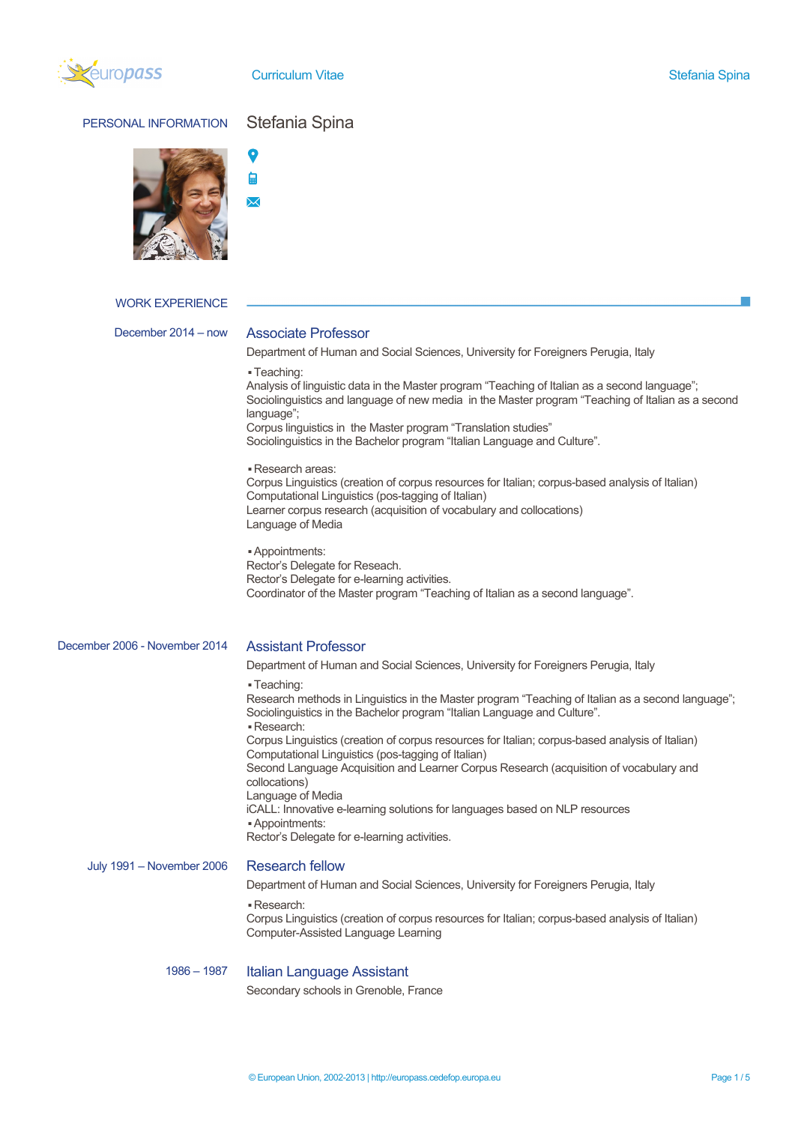

Curriculum Vitae Stefania Spina Stefania Spina

# PERSONAL INFORMATION Stefania Spina



### WORK EXPERIENCE

## December 2014 – now Associate Professor

Department of Human and Social Sciences, University for Foreigners Perugia, Italy

▪ Teaching:

Analysis of linguistic data in the Master program "Teaching of Italian as a second language"; Sociolinguistics and language of new media in the Master program "Teaching of Italian as a second language": Corpus linguistics in the Master program "Translation studies"

Sociolinguistics in the Bachelor program "Italian Language and Culture".

▪ Research areas:

Corpus Linguistics (creation of corpus resources for Italian; corpus-based analysis of Italian) Computational Linguistics (pos-tagging of Italian) Learner corpus research (acquisition of vocabulary and collocations) Language of Media

▪ Appointments: Rector's Delegate for Reseach. Rector's Delegate for e-learning activities. Coordinator of the Master program "Teaching of Italian as a second language".

# December 2006 - November 2014 Assistant Professor

Department of Human and Social Sciences, University for Foreigners Perugia, Italy

▪ Teaching:

Research methods in Linguistics in the Master program "Teaching of Italian as a second language"; Sociolinguistics in the Bachelor program "Italian Language and Culture". ▪ Research: Corpus Linguistics (creation of corpus resources for Italian; corpus-based analysis of Italian) Computational Linguistics (pos-tagging of Italian)

Second Language Acquisition and Learner Corpus Research (acquisition of vocabulary and collocations)

Language of Media

iCALL: Innovative e-learning solutions for languages based on NLP resources

▪ Appointments:

Rector's Delegate for e-learning activities.

July 1991 – November 2006 Research fellow

Department of Human and Social Sciences, University for Foreigners Perugia, Italy

▪ Research:

Corpus Linguistics (creation of corpus resources for Italian; corpus-based analysis of Italian) Computer-Assisted Language Learning

## 1986 – 1987 Italian Language Assistant

Secondary schools in Grenoble, France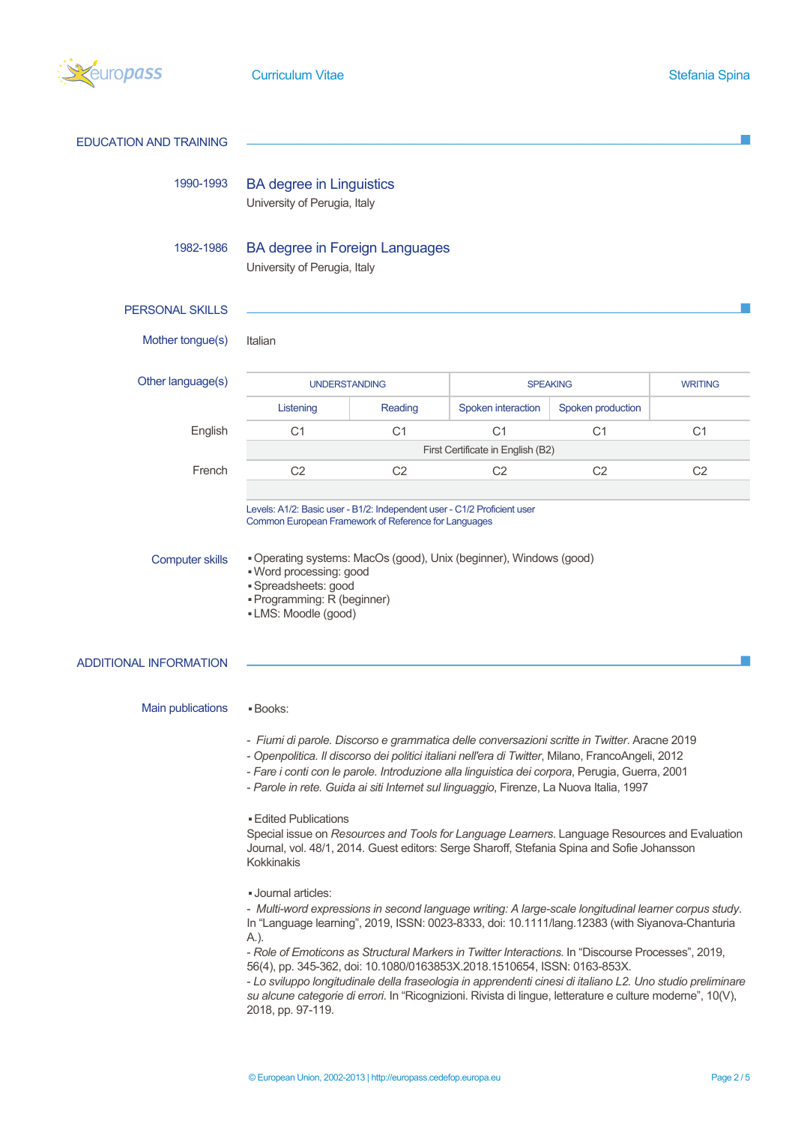

| <b>EDUCATION AND TRAINING</b> |                                                                                                                                                                                                                                                                                                                                                                                                                                                                                                                                                                                                                                                                                                                                                                                                                                                                                                                                                                                                                                                                                                                                                                                                                                                                                                                                          |                |                    |                   |                |
|-------------------------------|------------------------------------------------------------------------------------------------------------------------------------------------------------------------------------------------------------------------------------------------------------------------------------------------------------------------------------------------------------------------------------------------------------------------------------------------------------------------------------------------------------------------------------------------------------------------------------------------------------------------------------------------------------------------------------------------------------------------------------------------------------------------------------------------------------------------------------------------------------------------------------------------------------------------------------------------------------------------------------------------------------------------------------------------------------------------------------------------------------------------------------------------------------------------------------------------------------------------------------------------------------------------------------------------------------------------------------------|----------------|--------------------|-------------------|----------------|
| 1990-1993                     | <b>BA degree in Linguistics</b><br>University of Perugia, Italy                                                                                                                                                                                                                                                                                                                                                                                                                                                                                                                                                                                                                                                                                                                                                                                                                                                                                                                                                                                                                                                                                                                                                                                                                                                                          |                |                    |                   |                |
| 1982-1986                     | <b>BA degree in Foreign Languages</b><br>University of Perugia, Italy                                                                                                                                                                                                                                                                                                                                                                                                                                                                                                                                                                                                                                                                                                                                                                                                                                                                                                                                                                                                                                                                                                                                                                                                                                                                    |                |                    |                   |                |
| <b>PERSONAL SKILLS</b>        |                                                                                                                                                                                                                                                                                                                                                                                                                                                                                                                                                                                                                                                                                                                                                                                                                                                                                                                                                                                                                                                                                                                                                                                                                                                                                                                                          |                |                    |                   |                |
| Mother tongue(s)              | Italian                                                                                                                                                                                                                                                                                                                                                                                                                                                                                                                                                                                                                                                                                                                                                                                                                                                                                                                                                                                                                                                                                                                                                                                                                                                                                                                                  |                |                    |                   |                |
| Other language(s)             | <b>UNDERSTANDING</b>                                                                                                                                                                                                                                                                                                                                                                                                                                                                                                                                                                                                                                                                                                                                                                                                                                                                                                                                                                                                                                                                                                                                                                                                                                                                                                                     |                | <b>SPEAKING</b>    |                   | <b>WRITING</b> |
|                               | Listening                                                                                                                                                                                                                                                                                                                                                                                                                                                                                                                                                                                                                                                                                                                                                                                                                                                                                                                                                                                                                                                                                                                                                                                                                                                                                                                                | Reading        | Spoken interaction | Spoken production |                |
| English                       | C <sub>1</sub>                                                                                                                                                                                                                                                                                                                                                                                                                                                                                                                                                                                                                                                                                                                                                                                                                                                                                                                                                                                                                                                                                                                                                                                                                                                                                                                           | C <sub>1</sub> | C <sub>1</sub>     | C <sub>1</sub>    | C <sub>1</sub> |
|                               | First Certificate in English (B2)                                                                                                                                                                                                                                                                                                                                                                                                                                                                                                                                                                                                                                                                                                                                                                                                                                                                                                                                                                                                                                                                                                                                                                                                                                                                                                        |                |                    |                   |                |
| French                        | C <sub>2</sub>                                                                                                                                                                                                                                                                                                                                                                                                                                                                                                                                                                                                                                                                                                                                                                                                                                                                                                                                                                                                                                                                                                                                                                                                                                                                                                                           | C <sub>2</sub> | C <sub>2</sub>     | C <sub>2</sub>    | C <sub>2</sub> |
| <b>Computer skills</b>        | Operating systems: MacOs (good), Unix (beginner), Windows (good)<br>. Word processing: good<br>· Spreadsheets: good<br>· Programming: R (beginner)<br>• LMS: Moodle (good)                                                                                                                                                                                                                                                                                                                                                                                                                                                                                                                                                                                                                                                                                                                                                                                                                                                                                                                                                                                                                                                                                                                                                               |                |                    |                   |                |
| ADDITIONAL INFORMATION        |                                                                                                                                                                                                                                                                                                                                                                                                                                                                                                                                                                                                                                                                                                                                                                                                                                                                                                                                                                                                                                                                                                                                                                                                                                                                                                                                          |                |                    |                   |                |
| Main publications             | <b>Books:</b><br>- Fiumi di parole. Discorso e grammatica delle conversazioni scritte in Twitter. Aracne 2019<br>- Openpolitica. Il discorso dei politici italiani nell'era di Twitter, Milano, FrancoAngeli, 2012<br>- Fare i conti con le parole. Introduzione alla linguistica dei corpora, Perugia, Guerra, 2001<br>- Parole in rete. Guida ai siti Internet sul linguaggio, Firenze, La Nuova Italia, 1997<br><b>Edited Publications</b><br>Special issue on Resources and Tools for Language Learners. Language Resources and Evaluation<br>Journal, vol. 48/1, 2014. Guest editors: Serge Sharoff, Stefania Spina and Sofie Johansson<br>Kokkinakis<br>- Journal articles:<br>- Multi-word expressions in second language writing: A large-scale longitudinal learner corpus study.<br>In "Language learning", 2019, ISSN: 0023-8333, doi: 10.1111/lang.12383 (with Siyanova-Chanturia<br>A.).<br>- Role of Emoticons as Structural Markers in Twitter Interactions. In "Discourse Processes", 2019,<br>56(4), pp. 345-362, doi: 10.1080/0163853X.2018.1510654, ISSN: 0163-853X.<br>- Lo sviluppo longitudinale della fraseologia in apprendenti cinesi di italiano L2. Uno studio preliminare<br>su alcune categorie di errori. In "Ricognizioni. Rivista di lingue, letterature e culture moderne", 10(V),<br>2018, pp. 97-119. |                |                    |                   |                |
|                               |                                                                                                                                                                                                                                                                                                                                                                                                                                                                                                                                                                                                                                                                                                                                                                                                                                                                                                                                                                                                                                                                                                                                                                                                                                                                                                                                          |                |                    |                   |                |
|                               |                                                                                                                                                                                                                                                                                                                                                                                                                                                                                                                                                                                                                                                                                                                                                                                                                                                                                                                                                                                                                                                                                                                                                                                                                                                                                                                                          |                |                    |                   |                |
|                               |                                                                                                                                                                                                                                                                                                                                                                                                                                                                                                                                                                                                                                                                                                                                                                                                                                                                                                                                                                                                                                                                                                                                                                                                                                                                                                                                          |                |                    |                   |                |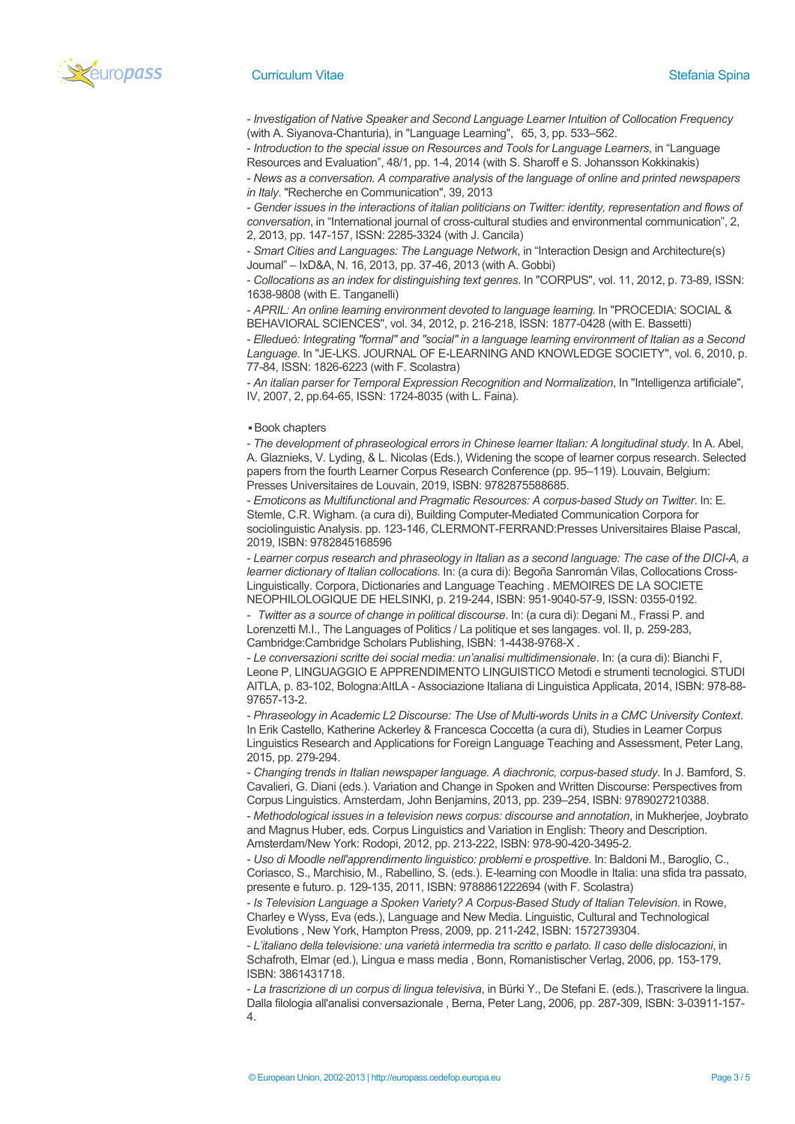

### **Curriculum Vitae Stefania Spina** Stefania Spina

- *Investigation of Native Speaker and Second Language Learner Intuition of Collocation Frequency* (with A. Siyanova-Chanturia), in "Language Learning", 65, 3, pp. 533–562.

- *Introduction to the special issue on Resources and Tools for Language Learners*, in "Language Resources and Evaluation", 48/1, pp. 1-4, 2014 (with S. Sharoff e S. Johansson Kokkinakis)

- *News as a conversation. A comparative analysis of the language of online and printed newspapers in Italy*. "Recherche en Communication", 39, 2013

- *Gender issues in the interactions of italian politicians on Twitter: identity, representation and flows of conversation*, in "International journal of cross-cultural studies and environmental communication", 2, 2, 2013, pp. 147-157, ISSN: 2285-3324 (with J. Cancila)

- *Smart Cities and Languages: The Language Network*, in "Interaction Design and Architecture(s) Journal" – IxD&A, N. 16, 2013, pp. 37-46, 2013 (with A. Gobbi)

- *Collocations as an index for distinguishing text genres*. In "CORPUS", vol. 11, 2012, p. 73-89, ISSN: 1638-9808 (with E. Tanganelli)

- *APRIL: An online learning environment devoted to language learning*. In "PROCEDIA: SOCIAL & BEHAVIORAL SCIENCES", vol. 34, 2012, p. 216-218, ISSN: 1877-0428 (with E. Bassetti)

- *Elledueò: Integrating "formal" and "social" in a language learning environment of Italian as a Second Language*. In "JE-LKS. JOURNAL OF E-LEARNING AND KNOWLEDGE SOCIETY", vol. 6, 2010, p. 77-84, ISSN: 1826-6223 (with F. Scolastra)

- *An italian parser for Temporal Expression Recognition and Normalization*, In "Intelligenza artificiale", IV, 2007, 2, pp.64-65, ISSN: 1724-8035 (with L. Faina).

▪ Book chapters

- *The development of phraseological errors in Chinese learner Italian: A longitudinal study*. In A. Abel, A. Glaznieks, V. Lyding, & L. Nicolas (Eds.), Widening the scope of learner corpus research. Selected papers from the fourth Learner Corpus Research Conference (pp. 95–119). Louvain, Belgium: Presses Universitaires de Louvain, 2019, ISBN: 9782875588685.

- *Emoticons as Multifunctional and Pragmatic Resources: A corpus-based Study on Twitter*. In: E. Stemle, C.R. Wigham. (a cura di), Building Computer-Mediated Communication Corpora for sociolinguistic Analysis. pp. 123-146, CLERMONT-FERRAND:Presses Universitaires Blaise Pascal, 2019, ISBN: 9782845168596

- *Learner corpus research and phraseology in Italian as a second language: The case of the DICI-A, a learner dictionary of Italian collocations*. In: (a cura di): Begoña Sanromán Vilas, Collocations Cross-Linguistically. Corpora, Dictionaries and Language Teaching . MEMOIRES DE LA SOCIETE NEOPHILOLOGIQUE DE HELSINKI, p. 219-244, ISBN: 951-9040-57-9, ISSN: 0355-0192.

- *Twitter as a source of change in political discourse*. In: (a cura di): Degani M., Frassi P. and Lorenzetti M.I., The Languages of Politics / La politique et ses langages. vol. II, p. 259-283, Cambridge:Cambridge Scholars Publishing, ISBN: 1-4438-9768-X .

- *Le conversazioni scritte dei social media: un'analisi multidimensionale*. In: (a cura di): Bianchi F, Leone P, LINGUAGGIO E APPRENDIMENTO LINGUISTICO Metodi e strumenti tecnologici. STUDI AITLA, p. 83-102, Bologna:AItLA - Associazione Italiana di Linguistica Applicata, 2014, ISBN: 978-88- 97657-13-2.

- *Phraseology in Academic L2 Discourse: The Use of Multi-words Units in a CMC University Context*. In Erik Castello, Katherine Ackerley & Francesca Coccetta (a cura di), Studies in Learner Corpus Linguistics Research and Applications for Foreign Language Teaching and Assessment, Peter Lang, 2015, pp. 279-294.

- *Changing trends in Italian newspaper language. A diachronic, corpus-based study*. In J. Bamford, S. Cavalieri, G. Diani (eds.). Variation and Change in Spoken and Written Discourse: Perspectives from Corpus Linguistics. Amsterdam, John Benjamins, 2013, pp. 239–254, ISBN: 9789027210388.

- *Methodological issues in a television news corpus: discourse and annotation*, in Mukherjee, Joybrato and Magnus Huber, eds. Corpus Linguistics and Variation in English: Theory and Description. Amsterdam/New York: Rodopi, 2012, pp. 213-222, ISBN: 978-90-420-3495-2.

- *Uso di Moodle nell'apprendimento linguistico: problemi e prospettive*. In: Baldoni M., Baroglio, C., Coriasco, S., Marchisio, M., Rabellino, S. (eds.). E-learning con Moodle in Italia: una sfida tra passato, presente e futuro. p. 129-135, 2011, ISBN: 9788861222694 (with F. Scolastra)

- *Is Television Language a Spoken Variety? A Corpus-Based Study of Italian Television*. in Rowe, Charley e Wyss, Eva (eds.), Language and New Media. Linguistic, Cultural and Technological Evolutions , New York, Hampton Press, 2009, pp. 211-242, ISBN: 1572739304.

- *L'italiano della televisione: una varietà intermedia tra scritto e parlato. Il caso delle dislocazioni*, in Schafroth, Elmar (ed.), Lingua e mass media , Bonn, Romanistischer Verlag, 2006, pp. 153-179, ISBN: 3861431718.

- *La trascrizione di un corpus di lingua televisiva*, in Bürki Y., De Stefani E. (eds.), Trascrivere la lingua. Dalla filologia all'analisi conversazionale , Berna, Peter Lang, 2006, pp. 287-309, ISBN: 3-03911-157- 4.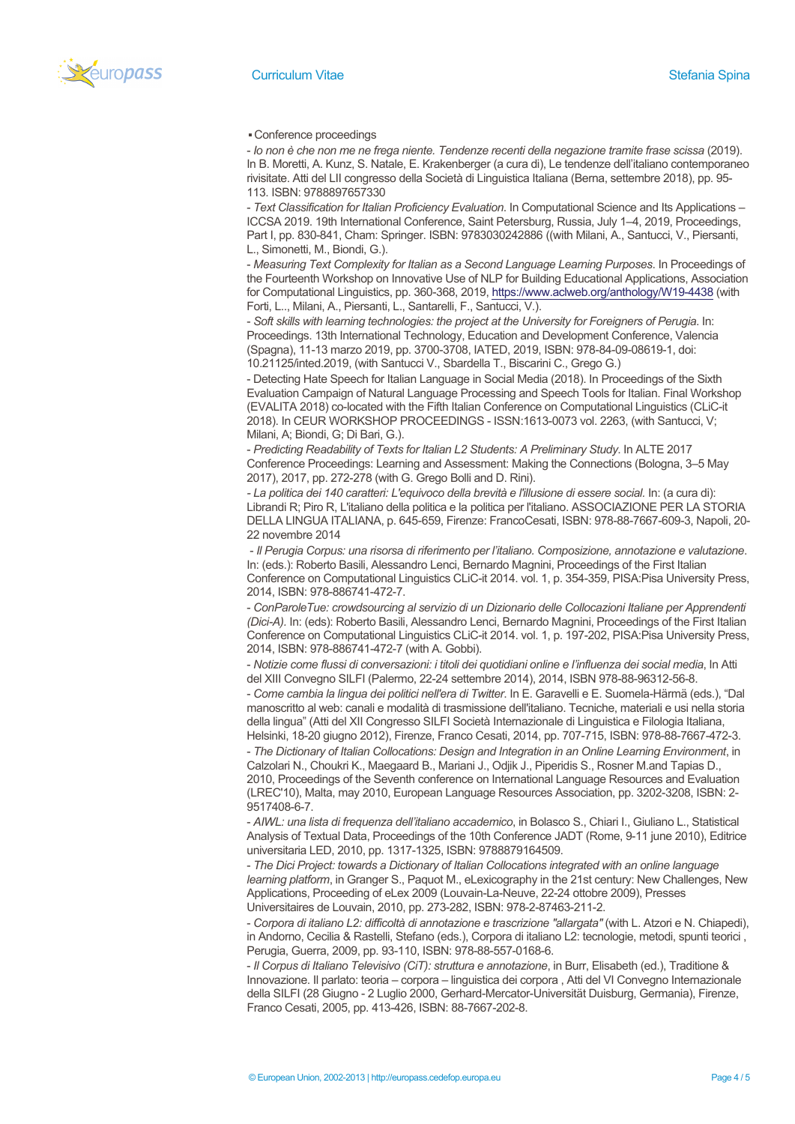

▪ Conference proceedings

- *Io non è che non me ne frega niente. Tendenze recenti della negazione tramite frase scissa* (2019). In B. Moretti, A. Kunz, S. Natale, E. Krakenberger (a cura di), Le tendenze dell'italiano contemporaneo rivisitate. Atti del LII congresso della Società di Linguistica Italiana (Berna, settembre 2018), pp. 95- 113. ISBN: 9788897657330

- *Text Classification for Italian Proficiency Evaluation*. In Computational Science and Its Applications – ICCSA 2019. 19th International Conference, Saint Petersburg, Russia, July 1–4, 2019, Proceedings, Part I, pp. 830-841, Cham: Springer. ISBN: 9783030242886 ((with Milani, A., Santucci, V., Piersanti, L., Simonetti, M., Biondi, G.).

- *Measuring Text Complexity for Italian as a Second Language Learning Purposes*. In Proceedings of the Fourteenth Workshop on Innovative Use of NLP for Building Educational Applications, Association for Computational Linguistics, pp. 360-368, 2019, https://www.aclweb.org/anthology/W19-4438 (with Forti, L.., Milani, A., Piersanti, L., Santarelli, F., Santucci, V.).

- *Soft skills with learning technologies: the project at the University for Foreigners of Perugia*. In: Proceedings. 13th International Technology, Education and Development Conference, Valencia (Spagna), 11-13 marzo 2019, pp. 3700-3708, IATED, 2019, ISBN: 978-84-09-08619-1, doi: 10.21125/inted.2019, (with Santucci V., Sbardella T., Biscarini C., Grego G.)

- Detecting Hate Speech for Italian Language in Social Media (2018). In Proceedings of the Sixth Evaluation Campaign of Natural Language Processing and Speech Tools for Italian. Final Workshop (EVALITA 2018) co-located with the Fifth Italian Conference on Computational Linguistics (CLiC-it 2018). In CEUR WORKSHOP PROCEEDINGS - ISSN:1613-0073 vol. 2263, (with Santucci, V; Milani, A; Biondi, G; Di Bari, G.).

- *Predicting Readability of Texts for Italian L2 Students: A Preliminary Study*. In ALTE 2017 Conference Proceedings: Learning and Assessment: Making the Connections (Bologna, 3–5 May 2017), 2017, pp. 272-278 (with G. Grego Bolli and D. Rini).

*- La politica dei 140 caratteri: L'equivoco della brevità e l'illusione di essere social.* In: (a cura di): Librandi R; Piro R, L'italiano della politica e la politica per l'italiano. ASSOCIAZIONE PER LA STORIA DELLA LINGUA ITALIANA, p. 645-659, Firenze: FrancoCesati, ISBN: 978-88-7667-609-3, Napoli, 20- 22 novembre 2014

- *Il Perugia Corpus: una risorsa di riferimento per l'italiano. Composizione, annotazione e valutazione*. In: (eds.): Roberto Basili, Alessandro Lenci, Bernardo Magnini, Proceedings of the First Italian Conference on Computational Linguistics CLiC-it 2014. vol. 1, p. 354-359, PISA:Pisa University Press, 2014, ISBN: 978-886741-472-7.

- *ConParoleTue: crowdsourcing al servizio di un Dizionario delle Collocazioni Italiane per Apprendenti (Dici-A).* In: (eds): Roberto Basili, Alessandro Lenci, Bernardo Magnini, Proceedings of the First Italian Conference on Computational Linguistics CLiC-it 2014. vol. 1, p. 197-202, PISA:Pisa University Press, 2014, ISBN: 978-886741-472-7 (with A. Gobbi).

- *Notizie come flussi di conversazioni: i titoli dei quotidiani online e l'influenza dei social media*, In Atti del XIII Convegno SILFI (Palermo, 22-24 settembre 2014), 2014, ISBN 978-88-96312-56-8.

- *Come cambia la lingua dei politici nell'era di Twitter*. In E. Garavelli e E. Suomela-Härmä (eds.), "Dal manoscritto al web: canali e modalità di trasmissione dell'italiano. Tecniche, materiali e usi nella storia della lingua" (Atti del XII Congresso SILFI Società Internazionale di Linguistica e Filologia Italiana,

Helsinki, 18-20 giugno 2012), Firenze, Franco Cesati, 2014, pp. 707-715, ISBN: 978-88-7667-472-3. - *The Dictionary of Italian Collocations: Design and Integration in an Online Learning Environment*, in Calzolari N., Choukri K., Maegaard B., Mariani J., Odjik J., Piperidis S., Rosner M.and Tapias D., 2010, Proceedings of the Seventh conference on International Language Resources and Evaluation (LREC'10), Malta, may 2010, European Language Resources Association, pp. 3202-3208, ISBN: 2- 9517408-6-7.

- *AIWL: una lista di frequenza dell'italiano accademico*, in Bolasco S., Chiari I., Giuliano L., Statistical Analysis of Textual Data, Proceedings of the 10th Conference JADT (Rome, 9-11 june 2010), Editrice universitaria LED, 2010, pp. 1317-1325, ISBN: 9788879164509.

- *The Dici Project: towards a Dictionary of Italian Collocations integrated with an online language learning platform*, in Granger S., Paquot M., eLexicography in the 21st century: New Challenges, New Applications, Proceeding of eLex 2009 (Louvain-La-Neuve, 22-24 ottobre 2009), Presses Universitaires de Louvain, 2010, pp. 273-282, ISBN: 978-2-87463-211-2.

- *Corpora di italiano L2: difficoltà di annotazione e trascrizione "allargata"* (with L. Atzori e N. Chiapedi), in Andorno, Cecilia & Rastelli, Stefano (eds.), Corpora di italiano L2: tecnologie, metodi, spunti teorici , Perugia, Guerra, 2009, pp. 93-110, ISBN: 978-88-557-0168-6.

- *Il Corpus di Italiano Televisivo (CiT): struttura e annotazione*, in Burr, Elisabeth (ed.), Traditione & Innovazione. Il parlato: teoria – corpora – linguistica dei corpora , Atti del VI Convegno Internazionale della SILFI (28 Giugno - 2 Luglio 2000, Gerhard-Mercator-Universität Duisburg, Germania), Firenze, Franco Cesati, 2005, pp. 413-426, ISBN: 88-7667-202-8.